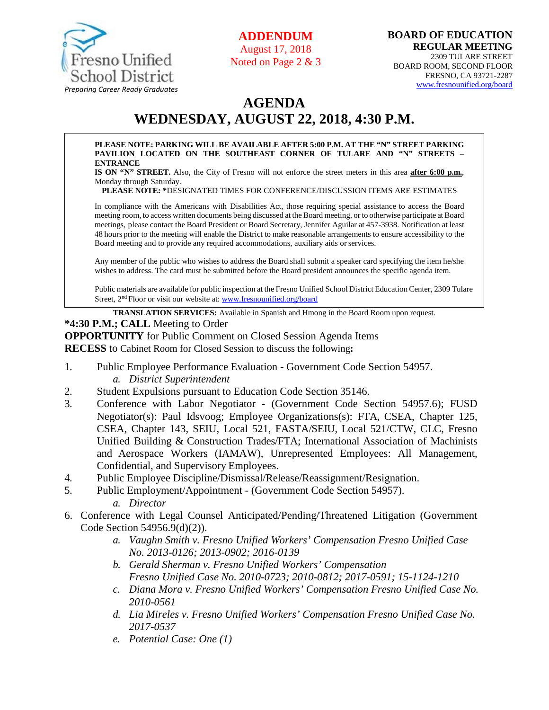

**ADDENDUM** August 17, 2018

Noted on Page 2 & 3

# **AGENDA WEDNESDAY, AUGUST 22, 2018, 4:30 P.M.**

#### **PLEASE NOTE: PARKING WILL BE AVAILABLE AFTER 5:00 P.M. AT THE "N" STREET PARKING PAVILION LOCATED ON THE SOUTHEAST CORNER OF TULARE AND "N" STREETS – ENTRANCE**

**IS ON "N" STREET.** Also, the City of Fresno will not enforce the street meters in this area **after 6:00 p.m.**, Monday through Saturday.

**PLEASE NOTE: \***DESIGNATED TIMES FOR CONFERENCE/DISCUSSION ITEMS ARE ESTIMATES

In compliance with the Americans with Disabilities Act, those requiring special assistance to access the Board meeting room, to access written documents being discussed at the Board meeting, or to otherwise participate at Board meetings, please contact the Board President or Board Secretary, Jennifer Aguilar at 457-3938. Notification at least 48 hours prior to the meeting will enable the District to make reasonable arrangements to ensure accessibility to the Board meeting and to provide any required accommodations, auxiliary aids orservices.

Any member of the public who wishes to address the Board shall submit a speaker card specifying the item he/she wishes to address. The card must be submitted before the Board president announces the specific agenda item.

Public materials are available for public inspection at the Fresno Unified School District Education Center, 2309 Tulare Street, 2<sup>nd</sup> Floor or visit our website at: [www.fresnounified.org/board](http://www.fresnounified.org/board)

**TRANSLATION SERVICES:** Available in Spanish and Hmong in the Board Room upon request.

#### **\*4:30 P.M.; CALL** Meeting to Order

**OPPORTUNITY** for Public Comment on Closed Session Agenda Items

**RECESS** to Cabinet Room for Closed Session to discuss the following**:**

- 1. Public Employee Performance Evaluation Government Code Section 54957. *a. District Superintendent*
- 2. Student Expulsions pursuant to Education Code Section 35146.
- 3. Conference with Labor Negotiator (Government Code Section 54957.6); FUSD Negotiator(s): Paul Idsvoog; Employee Organizations(s): FTA, CSEA, Chapter 125, CSEA, Chapter 143, SEIU, Local 521, FASTA/SEIU, Local 521/CTW, CLC, Fresno Unified Building & Construction Trades/FTA; International Association of Machinists and Aerospace Workers (IAMAW), Unrepresented Employees: All Management, Confidential, and Supervisory Employees.
- 4. Public Employee Discipline/Dismissal/Release/Reassignment/Resignation.
- 5. Public Employment/Appointment (Government Code Section 54957). *a. Director*
- 6. Conference with Legal Counsel Anticipated/Pending/Threatened Litigation (Government Code Section 54956.9(d)(2)).
	- *a. Vaughn Smith v. Fresno Unified Workers' Compensation Fresno Unified Case No. 2013-0126; 2013-0902; 2016-0139*
	- *b. Gerald Sherman v. Fresno Unified Workers' Compensation Fresno Unified Case No. 2010-0723; 2010-0812; 2017-0591; 15-1124-1210*
	- *c. Diana Mora v. Fresno Unified Workers' Compensation Fresno Unified Case No. 2010-0561*
	- *d. Lia Mireles v. Fresno Unified Workers' Compensation Fresno Unified Case No. 2017-0537*
	- *e. Potential Case: One (1)*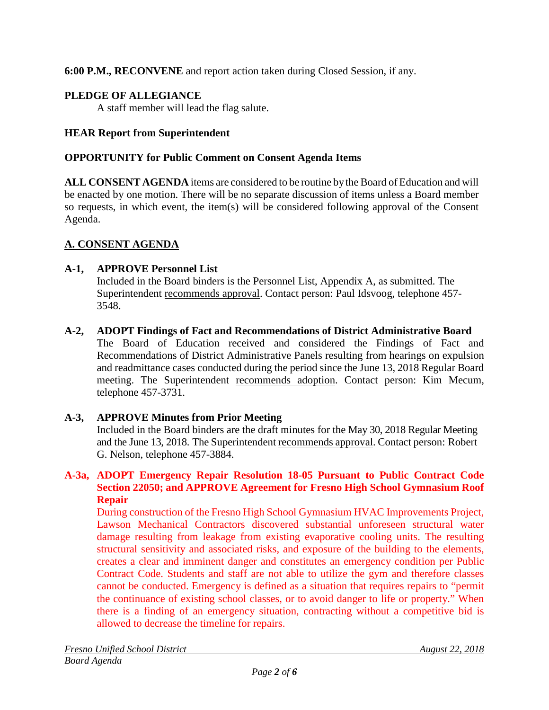**6:00 P.M., RECONVENE** and report action taken during Closed Session, if any.

# **PLEDGE OF ALLEGIANCE**

A staff member will lead the flag salute.

# **HEAR Report from Superintendent**

# **OPPORTUNITY for Public Comment on Consent Agenda Items**

**ALL CONSENT AGENDA** items are considered to be routine bythe Board of Education and will be enacted by one motion. There will be no separate discussion of items unless a Board member so requests, in which event, the item(s) will be considered following approval of the Consent Agenda.

# **A. CONSENT AGENDA**

# **A-1, APPROVE Personnel List**

Included in the Board binders is the Personnel List, Appendix A, as submitted. The Superintendent recommends approval. Contact person: Paul Idsvoog, telephone 457- 3548.

### **A-2, ADOPT Findings of Fact and Recommendations of District Administrative Board** The Board of Education received and considered the Findings of Fact and Recommendations of District Administrative Panels resulting from hearings on expulsion and readmittance cases conducted during the period since the June 13, 2018 Regular Board meeting. The Superintendent recommends adoption. Contact person: Kim Mecum, telephone 457-3731.

# **A-3, APPROVE Minutes from Prior Meeting**

Included in the Board binders are the draft minutes for the May 30, 2018 Regular Meeting and the June 13, 2018. The Superintendent recommends approval. Contact person: Robert G. Nelson, telephone 457-3884.

### **A-3a, ADOPT Emergency Repair Resolution 18-05 Pursuant to Public Contract Code Section 22050; and APPROVE Agreement for Fresno High School Gymnasium Roof Repair**

During construction of the Fresno High School Gymnasium HVAC Improvements Project, Lawson Mechanical Contractors discovered substantial unforeseen structural water damage resulting from leakage from existing evaporative cooling units. The resulting structural sensitivity and associated risks, and exposure of the building to the elements, creates a clear and imminent danger and constitutes an emergency condition per Public Contract Code. Students and staff are not able to utilize the gym and therefore classes cannot be conducted. Emergency is defined as a situation that requires repairs to "permit the continuance of existing school classes, or to avoid danger to life or property." When there is a finding of an emergency situation, contracting without a competitive bid is allowed to decrease the timeline for repairs.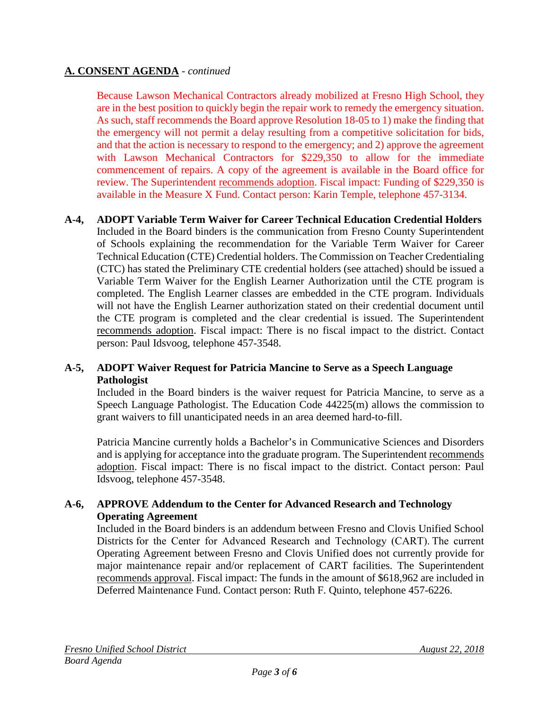# **A. CONSENT AGENDA** - *continued*

Because Lawson Mechanical Contractors already mobilized at Fresno High School, they are in the best position to quickly begin the repair work to remedy the emergency situation. As such, staff recommends the Board approve Resolution 18-05 to 1) make the finding that the emergency will not permit a delay resulting from a competitive solicitation for bids, and that the action is necessary to respond to the emergency; and 2) approve the agreement with Lawson Mechanical Contractors for \$229,350 to allow for the immediate commencement of repairs. A copy of the agreement is available in the Board office for review. The Superintendent recommends adoption. Fiscal impact: Funding of \$229,350 is available in the Measure X Fund. Contact person: Karin Temple, telephone 457-3134.

### **A-4, ADOPT Variable Term Waiver for Career Technical Education Credential Holders** Included in the Board binders is the communication from Fresno County Superintendent of Schools explaining the recommendation for the Variable Term Waiver for Career Technical Education (CTE) Credential holders. The Commission on Teacher Credentialing (CTC) has stated the Preliminary CTE credential holders (see attached) should be issued a Variable Term Waiver for the English Learner Authorization until the CTE program is completed. The English Learner classes are embedded in the CTE program. Individuals will not have the English Learner authorization stated on their credential document until the CTE program is completed and the clear credential is issued. The Superintendent recommends adoption. Fiscal impact: There is no fiscal impact to the district. Contact person: Paul Idsvoog, telephone 457-3548.

### **A-5, ADOPT Waiver Request for Patricia Mancine to Serve as a Speech Language Pathologist**

Included in the Board binders is the waiver request for Patricia Mancine, to serve as a Speech Language Pathologist. The Education Code 44225(m) allows the commission to grant waivers to fill unanticipated needs in an area deemed hard-to-fill.

Patricia Mancine currently holds a Bachelor's in Communicative Sciences and Disorders and is applying for acceptance into the graduate program. The Superintendent recommends adoption. Fiscal impact: There is no fiscal impact to the district. Contact person: Paul Idsvoog, telephone 457-3548.

### **A-6, APPROVE Addendum to the Center for Advanced Research and Technology Operating Agreement**

Included in the Board binders is an addendum between Fresno and Clovis Unified School Districts for the Center for Advanced Research and Technology (CART). The current Operating Agreement between Fresno and Clovis Unified does not currently provide for major maintenance repair and/or replacement of CART facilities. The Superintendent recommends approval. Fiscal impact: The funds in the amount of \$618,962 are included in Deferred Maintenance Fund. Contact person: Ruth F. Quinto, telephone 457-6226.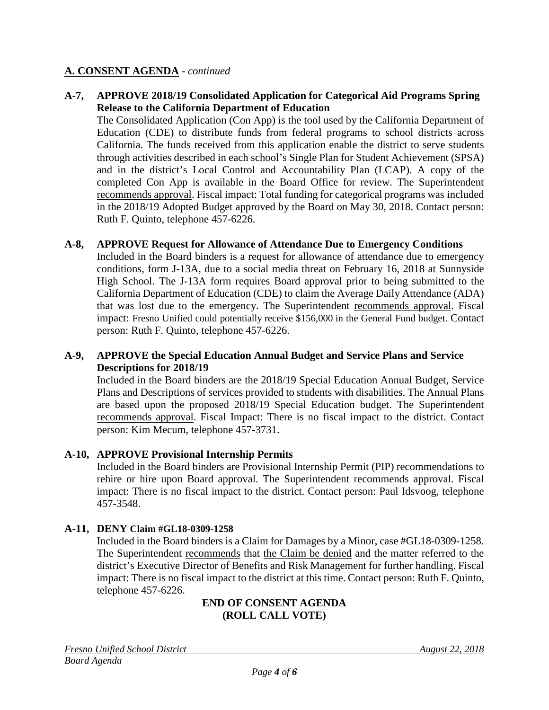### **A. CONSENT AGENDA** - *continued*

### **A-7, APPROVE 2018/19 Consolidated Application for Categorical Aid Programs Spring Release to the California Department of Education**

The Consolidated Application (Con App) is the tool used by the California Department of Education (CDE) to distribute funds from federal programs to school districts across California. The funds received from this application enable the district to serve students through activities described in each school's Single Plan for Student Achievement (SPSA) and in the district's Local Control and Accountability Plan (LCAP). A copy of the completed Con App is available in the Board Office for review. The Superintendent recommends approval. Fiscal impact: Total funding for categorical programs was included in the 2018/19 Adopted Budget approved by the Board on May 30, 2018. Contact person: Ruth F. Quinto, telephone 457-6226.

### **A-8, APPROVE Request for Allowance of Attendance Due to Emergency Conditions**

Included in the Board binders is a request for allowance of attendance due to emergency conditions, form J-13A, due to a social media threat on February 16, 2018 at Sunnyside High School. The J-13A form requires Board approval prior to being submitted to the California Department of Education (CDE) to claim the Average Daily Attendance (ADA) that was lost due to the emergency. The Superintendent recommends approval. Fiscal impact: Fresno Unified could potentially receive \$156,000 in the General Fund budget. Contact person: Ruth F. Quinto, telephone 457-6226.

### **A-9, APPROVE the Special Education Annual Budget and Service Plans and Service Descriptions for 2018/19**

Included in the Board binders are the 2018/19 Special Education Annual Budget, Service Plans and Descriptions of services provided to students with disabilities. The Annual Plans are based upon the proposed 2018/19 Special Education budget. The Superintendent recommends approval. Fiscal Impact: There is no fiscal impact to the district. Contact person: Kim Mecum, telephone 457-3731.

### **A-10, APPROVE Provisional Internship Permits**

Included in the Board binders are Provisional Internship Permit (PIP) recommendations to rehire or hire upon Board approval. The Superintendent recommends approval. Fiscal impact: There is no fiscal impact to the district. Contact person: Paul Idsvoog, telephone 457-3548.

#### **A-11, DENY Claim #GL18-0309-1258**

Included in the Board binders is a Claim for Damages by a Minor, case #GL18-0309-1258. The Superintendent recommends that the Claim be denied and the matter referred to the district's Executive Director of Benefits and Risk Management for further handling. Fiscal impact: There is no fiscal impact to the district at this time. Contact person: Ruth F. Quinto, telephone 457-6226.

#### **END OF CONSENT AGENDA (ROLL CALL VOTE)**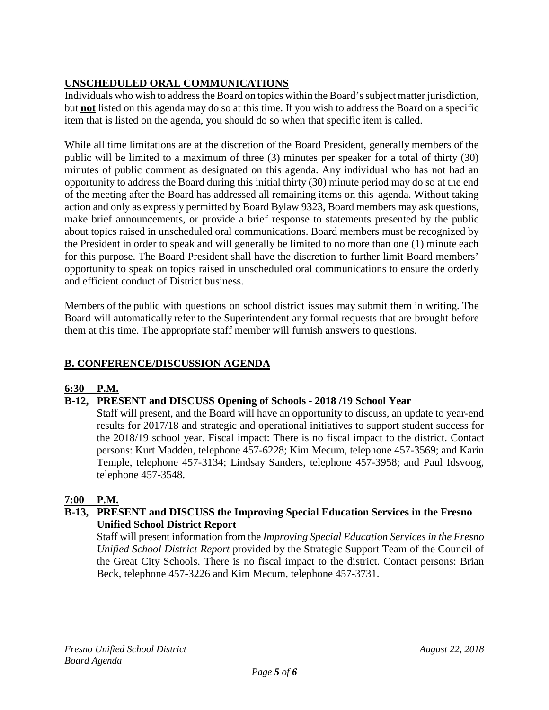# **UNSCHEDULED ORAL COMMUNICATIONS**

Individuals who wish to address the Board on topics within the Board's subject matter jurisdiction, but **not** listed on this agenda may do so at this time. If you wish to address the Board on a specific item that is listed on the agenda, you should do so when that specific item is called.

While all time limitations are at the discretion of the Board President, generally members of the public will be limited to a maximum of three (3) minutes per speaker for a total of thirty (30) minutes of public comment as designated on this agenda. Any individual who has not had an opportunity to address the Board during this initial thirty (30) minute period may do so at the end of the meeting after the Board has addressed all remaining items on this agenda. Without taking action and only as expressly permitted by Board Bylaw 9323, Board members may ask questions, make brief announcements, or provide a brief response to statements presented by the public about topics raised in unscheduled oral communications. Board members must be recognized by the President in order to speak and will generally be limited to no more than one (1) minute each for this purpose. The Board President shall have the discretion to further limit Board members' opportunity to speak on topics raised in unscheduled oral communications to ensure the orderly and efficient conduct of District business.

Members of the public with questions on school district issues may submit them in writing. The Board will automatically refer to the Superintendent any formal requests that are brought before them at this time. The appropriate staff member will furnish answers to questions.

# **B. CONFERENCE/DISCUSSION AGENDA**

# **6:30 P.M.**

# **B-12, PRESENT and DISCUSS Opening of Schools - 2018 /19 School Year**

Staff will present, and the Board will have an opportunity to discuss, an update to year-end results for 2017/18 and strategic and operational initiatives to support student success for the 2018/19 school year. Fiscal impact: There is no fiscal impact to the district. Contact persons: Kurt Madden, telephone 457-6228; Kim Mecum, telephone 457-3569; and Karin Temple, telephone 457-3134; Lindsay Sanders, telephone 457-3958; and Paul Idsvoog, telephone 457-3548.

# **7:00 P.M.**

### **B-13, PRESENT and DISCUSS the Improving Special Education Services in the Fresno Unified School District Report**

Staff will present information from the *Improving Special Education Services in the Fresno Unified School District Report* provided by the Strategic Support Team of the Council of the Great City Schools. There is no fiscal impact to the district. Contact persons: Brian Beck, telephone 457-3226 and Kim Mecum, telephone 457-3731.